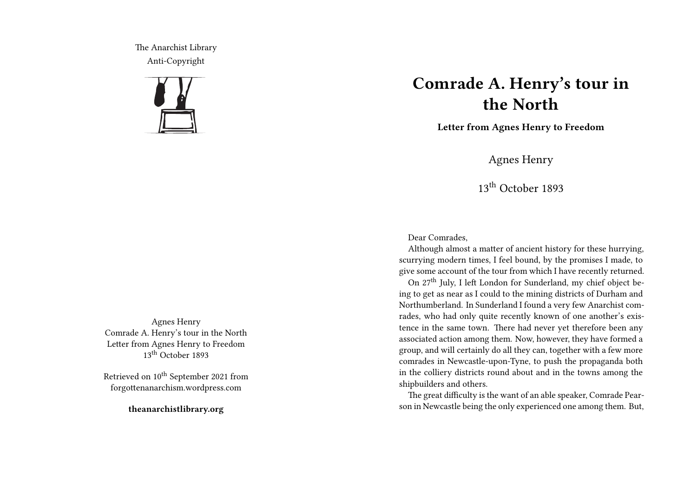The Anarchist Library Anti-Copyright



Agnes Henry Comrade A. Henry's tour in the North Letter from Agnes Henry to Freedom 13<sup>th</sup> October 1893

Retrieved on 10<sup>th</sup> September 2021 from forgottenanarchism.wordpress.com

**theanarchistlibrary.org**

## **Comrade A. Henry's tour in the North**

**Letter from Agnes Henry to Freedom**

Agnes Henry

13th October 1893

Dear Comrades,

Although almost a matter of ancient history for these hurrying, scurrying modern times, I feel bound, by the promises I made, to give some account of the tour from which I have recently returned.

On 27th July, I left London for Sunderland, my chief object being to get as near as I could to the mining districts of Durham and Northumberland. In Sunderland I found a very few Anarchist comrades, who had only quite recently known of one another's existence in the same town. There had never yet therefore been any associated action among them. Now, however, they have formed a group, and will certainly do all they can, together with a few more comrades in Newcastle-upon-Tyne, to push the propaganda both in the colliery districts round about and in the towns among the shipbuilders and others.

The great difficulty is the want of an able speaker, Comrade Pearson in Newcastle being the only experienced one among them. But,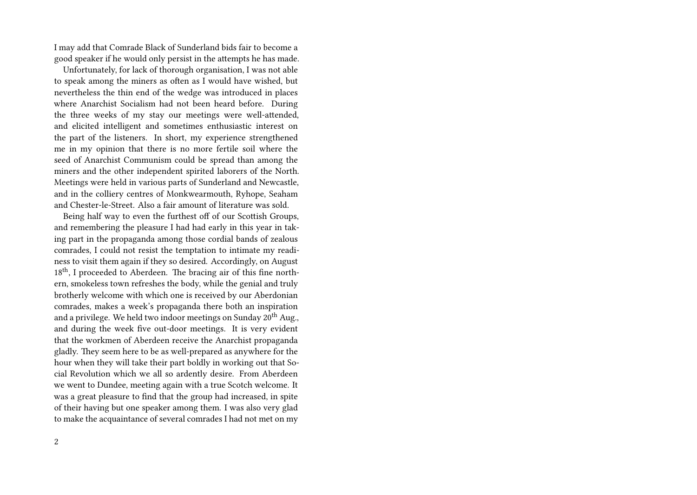I may add that Comrade Black of Sunderland bids fair to become a good speaker if he would only persist in the attempts he has made.

Unfortunately, for lack of thorough organisation, I was not able to speak among the miners as often as I would have wished, but nevertheless the thin end of the wedge was introduced in places where Anarchist Socialism had not been heard before. During the three weeks of my stay our meetings were well-attended, and elicited intelligent and sometimes enthusiastic interest on the part of the listeners. In short, my experience strengthened me in my opinion that there is no more fertile soil where the seed of Anarchist Communism could be spread than among the miners and the other independent spirited laborers of the North. Meetings were held in various parts of Sunderland and Newcastle, and in the colliery centres of Monkwearmouth, Ryhope, Seaham and Chester-le-Street. Also a fair amount of literature was sold.

Being half way to even the furthest off of our Scottish Groups, and remembering the pleasure I had had early in this year in taking part in the propaganda among those cordial bands of zealous comrades, I could not resist the temptation to intimate my readiness to visit them again if they so desired. Accordingly, on August 18<sup>th</sup>, I proceeded to Aberdeen. The bracing air of this fine northern, smokeless town refreshes the body, while the genial and truly brotherly welcome with which one is received by our Aberdonian comrades, makes a week's propaganda there both an inspiration and a privilege. We held two indoor meetings on Sunday  $20^{th}$  Aug., and during the week five out-door meetings. It is very evident that the workmen of Aberdeen receive the Anarchist propaganda gladly. They seem here to be as well-prepared as anywhere for the hour when they will take their part boldly in working out that Social Revolution which we all so ardently desire. From Aberdeen we went to Dundee, meeting again with a true Scotch welcome. It was a great pleasure to find that the group had increased, in spite of their having but one speaker among them. I was also very glad to make the acquaintance of several comrades I had not met on my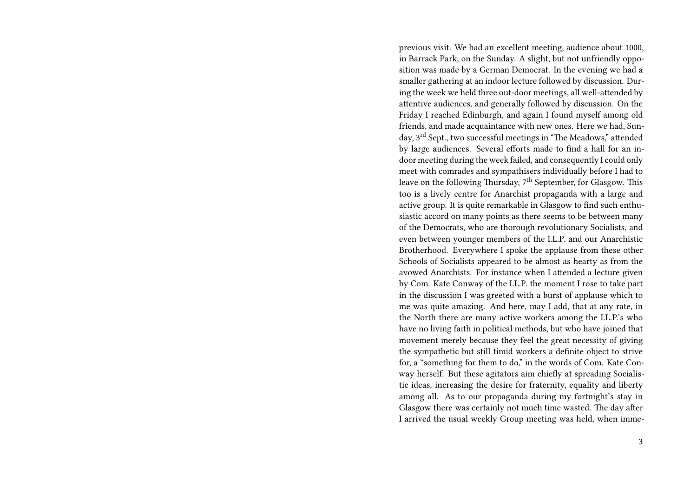previous visit. We had an excellent meeting, audience about 1000, in Barrack Park, on the Sunday. A slight, but not unfriendly opposition was made by a German Democrat. In the evening we had a smaller gathering at an indoor lecture followed by discussion. During the week we held three out-door meetings, all well-attended by attentive audiences, and generally followed by discussion. On the Friday I reached Edinburgh, and again I found myself among old friends, and made acquaintance with new ones. Here we had, Sunday, 3rd Sept., two successful meetings in "The Meadows," attended by large audiences. Several efforts made to find a hall for an indoor meeting during the week failed, and consequently I could only meet with comrades and sympathisers individually before I had to leave on the following Thursday,  $7<sup>th</sup>$  September, for Glasgow. This too is a lively centre for Anarchist propaganda with a large and active group. It is quite remarkable in Glasgow to find such enthusiastic accord on many points as there seems to be between many of the Democrats, who are thorough revolutionary Socialists, and even between younger members of the I.L.P. and our Anarchistic Brotherhood. Everywhere I spoke the applause from these other Schools of Socialists appeared to be almost as hearty as from the avowed Anarchists. For instance when I attended a lecture given by Com. Kate Conway of the I.L.P. the moment I rose to take part in the discussion I was greeted with a burst of applause which to me was quite amazing. And here, may I add, that at any rate, in the North there are many active workers among the I.L.P.'s who have no living faith in political methods, but who have joined that movement merely because they feel the great necessity of giving the sympathetic but still timid workers a definite object to strive for, a "something for them to do," in the words of Com. Kate Conway herself. But these agitators aim chiefly at spreading Socialistic ideas, increasing the desire for fraternity, equality and liberty among all. As to our propaganda during my fortnight's stay in Glasgow there was certainly not much time wasted. The day after I arrived the usual weekly Group meeting was held, when imme